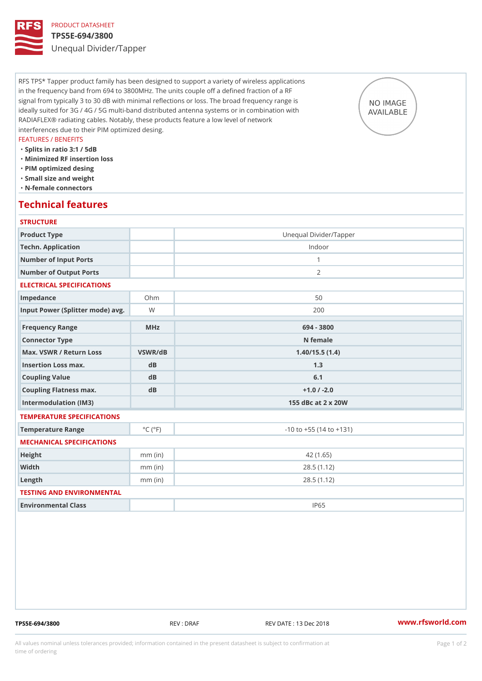### PRODUCT DATASHEET TPS5E-694/3800 Unequal Divider/Tapper

RFS TPS\* Tapper product family has been designed to support a variety of wireless applications in the frequency band from 694 to 3800MHz. The units couple off a defined fraction of a RF signal from typically 3 to 30 dB with minimal reflections or loss. The broad frequency range is ideally suited for 3G / 4G / 5G multi-band distributed antenna systems or in combination with RADIAFLEX® radiating cables. Notably, these products feature a low level of network interferences due to their PIM optimized desing.

### FEATURES / BENEFITS

- "Splits in ratio 3:1 / 5dB
- "Minimized RF insertion loss
- "PIM optimized desing
- "Small size and weight
- "N-female connectors

### Technical features

### **STRUCTURE**

| Product Type                      |                             | Unequal Divider/Tapper         |
|-----------------------------------|-----------------------------|--------------------------------|
| Techn. Application                |                             | Indoor                         |
| Number of Input Ports             |                             | $\mathbf{1}$                   |
| Number of Output Ports            |                             | 2                              |
| ELECTRICAL SPECIFICATIONS         |                             |                                |
|                                   |                             |                                |
| Impedance                         | $Oh$ m                      | 50                             |
| Input Power (Splitter mode) Wavg. |                             | 200                            |
| Frequency Range                   | MHz                         | 694 - 3800                     |
| Connector Type                    |                             | N female                       |
| Max. VSWR / Return LossVSWR/dB    |                             | 1.40/15.5(1.4)                 |
| Insertion Loss max.               | dB                          | 1.3                            |
| Coupling Value                    | $d$ B                       | 6.1                            |
| Coupling Flatness max.            | dB                          | $+1.0$ / -2.0                  |
| Intermodulation (IM3)             |                             | 155 dBc at 2 x 20W             |
| TEMPERATURE SPECIFICATIONS        |                             |                                |
| Temperature Range                 | $^{\circ}$ C ( $^{\circ}$ F | $-10$ to $+55$ (14 to $+131$ ) |
| MECHANICAL SPECIFICATIONS         |                             |                                |
| Height                            | $mm$ (in)                   | 42(1.65)                       |
| Width                             | $mm$ (in)                   | 28.5(1.12)                     |
| $L$ ength                         | $mm$ (in)                   | 28.5(1.12)                     |
| TESTING AND ENVIRONMENTAL         |                             |                                |
| Environmental Class               |                             | IP65                           |

TPS5E-694/3800 REV : DRAF REV DATE : 13 Dec 2018 [www.](https://www.rfsworld.com)rfsworld.com

All values nominal unless tolerances provided; information contained in the present datasheet is subject to Pcapgeign manation time of ordering